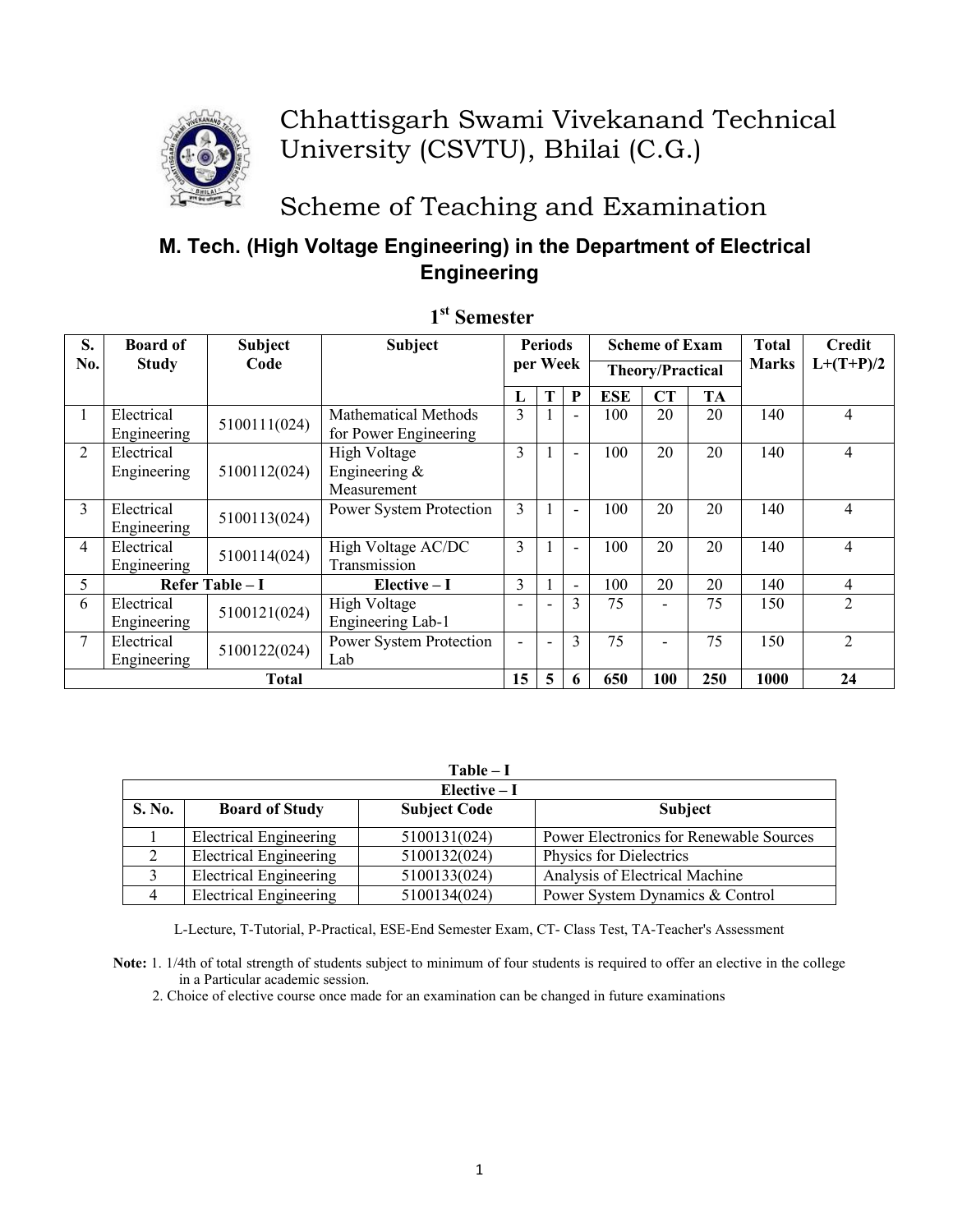

# Chhattisgarh Swami Vivekanand Technical University (CSVTU), Bhilai (C.G.)

Scheme of Teaching and Examination

## M. Tech. (High Voltage Engineering) in the Department of Electrical **Engineering**

| S.             | <b>Board of</b> | <b>Subject</b>   | <b>Subject</b>          | <b>Periods</b> |          |     | <b>Scheme of Exam</b>   |     | <b>Total</b> | Credit       |                |
|----------------|-----------------|------------------|-------------------------|----------------|----------|-----|-------------------------|-----|--------------|--------------|----------------|
| No.            | <b>Study</b>    | Code             |                         |                | per Week |     | <b>Theory/Practical</b> |     |              | <b>Marks</b> | $L+(T+P)/2$    |
|                |                 |                  |                         |                |          | P   | <b>ESE</b>              | CT  | TA           |              |                |
|                | Electrical      | 5100111(024)     | Mathematical Methods    | 3              |          |     | 100                     | 20  | 20           | 140          | 4              |
|                | Engineering     |                  | for Power Engineering   |                |          |     |                         |     |              |              |                |
| $\overline{2}$ | Electrical      |                  | High Voltage            | 3              |          |     | 100                     | 20  | 20           | 140          | 4              |
|                | Engineering     | 5100112(024)     | Engineering $&$         |                |          |     |                         |     |              |              |                |
|                |                 |                  | Measurement             |                |          |     |                         |     |              |              |                |
| 3              | Electrical      |                  | Power System Protection | 3              |          |     | 100                     | 20  | 20           | 140          | $\overline{4}$ |
|                | Engineering     | 5100113(024)     |                         |                |          |     |                         |     |              |              |                |
| 4              | Electrical      | 5100114(024)     | High Voltage AC/DC      | 3              |          |     | 100                     | 20  | 20           | 140          | $\overline{4}$ |
|                | Engineering     |                  | Transmission            |                |          |     |                         |     |              |              |                |
| 5              |                 | Refer Table $-I$ | $Elective-I$            | 3              |          | Ξ.  | 100                     | 20  | 20           | 140          | 4              |
| 6              | Electrical      | 5100121(024)     | High Voltage            |                |          | 3   | 75                      |     | 75           | 150          | $\overline{2}$ |
|                | Engineering     |                  | Engineering Lab-1       |                |          |     |                         |     |              |              |                |
| 7              | Electrical      | 5100122(024)     | Power System Protection |                |          | 3   | 75                      |     | 75           | 150          | $\overline{2}$ |
|                | Engineering     |                  | Lab                     |                |          |     |                         |     |              |              |                |
| <b>Total</b>   |                 |                  | 15                      | 5              | 6        | 650 | 100                     | 250 | 1000         | 24           |                |

### 1<sup>st</sup> Semester

|               | $Table - I$                   |                     |                                         |  |  |  |  |  |  |
|---------------|-------------------------------|---------------------|-----------------------------------------|--|--|--|--|--|--|
|               | Elective $-I$                 |                     |                                         |  |  |  |  |  |  |
| <b>S. No.</b> | <b>Board of Study</b>         | <b>Subject Code</b> | <b>Subject</b>                          |  |  |  |  |  |  |
|               | <b>Electrical Engineering</b> | 5100131(024)        | Power Electronics for Renewable Sources |  |  |  |  |  |  |
|               | <b>Electrical Engineering</b> | 5100132(024)        | Physics for Dielectrics                 |  |  |  |  |  |  |
|               | <b>Electrical Engineering</b> | 5100133(024)        | Analysis of Electrical Machine          |  |  |  |  |  |  |
|               | <b>Electrical Engineering</b> | 5100134(024)        | Power System Dynamics & Control         |  |  |  |  |  |  |

L-Lecture, T-Tutorial, P-Practical, ESE-End Semester Exam, CT- Class Test, TA-Teacher's Assessment

Note: 1. 1/4th of total strength of students subject to minimum of four students is required to offer an elective in the college in a Particular academic session.

2. Choice of elective course once made for an examination can be changed in future examinations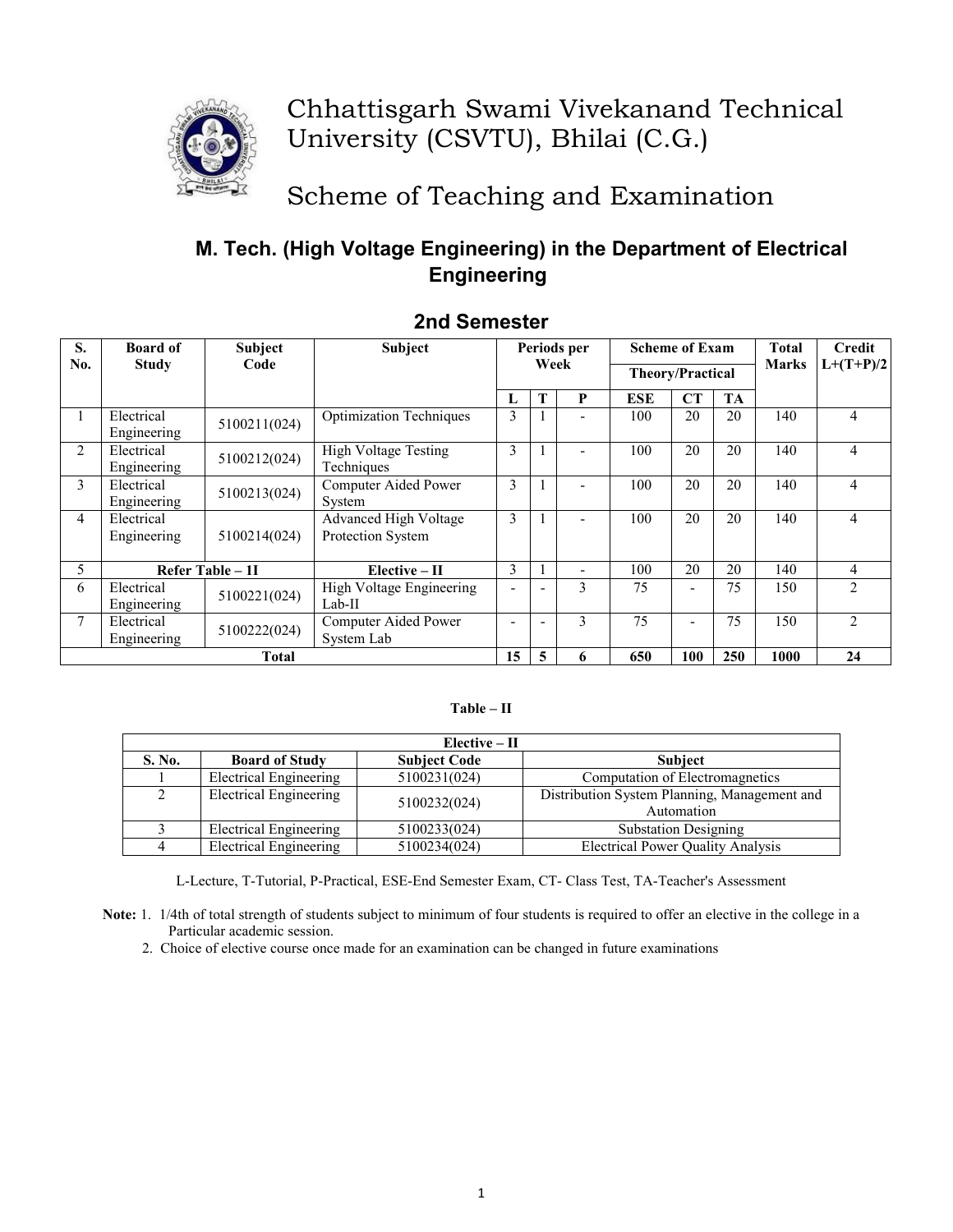

## Chhattisgarh Swami Vivekanand Technical University (CSVTU), Bhilai (C.G.)

# Scheme of Teaching and Examination

## M. Tech. (High Voltage Engineering) in the Department of Electrical **Engineering**

| S.  | <b>Board of</b>           | <b>Subject</b>   | <b>Subject</b>                                    | Periods per |      |   | <b>Scheme of Exam</b>   |           | Total     | <b>Credit</b> |                |
|-----|---------------------------|------------------|---------------------------------------------------|-------------|------|---|-------------------------|-----------|-----------|---------------|----------------|
| No. | <b>Study</b>              | Code             |                                                   |             | Week |   | <b>Theory/Practical</b> |           |           | Marks         | $L+(T+P)/2$    |
|     |                           |                  |                                                   | L           | Т    | P | <b>ESE</b>              | <b>CT</b> | <b>TA</b> |               |                |
|     | Electrical<br>Engineering | 5100211(024)     | <b>Optimization Techniques</b>                    | 3           |      |   | 100                     | 20        | 20        | 140           | $\overline{4}$ |
| 2   | Electrical<br>Engineering | 5100212(024)     | <b>High Voltage Testing</b><br>Techniques         | 3           |      |   | 100                     | 20        | 20        | 140           | $\overline{4}$ |
| 3   | Electrical<br>Engineering | 5100213(024)     | Computer Aided Power<br>System                    | 3           |      |   | 100                     | 20        | 20        | 140           | $\overline{4}$ |
| 4   | Electrical<br>Engineering | 5100214(024)     | <b>Advanced High Voltage</b><br>Protection System | 3           |      |   | 100                     | 20        | 20        | 140           | $\overline{4}$ |
| 5   |                           | Refer Table - 1I | $Elective - II$                                   | 3           |      |   | 100                     | 20        | 20        | 140           | 4              |
| 6   | Electrical<br>Engineering | 5100221(024)     | High Voltage Engineering<br>$Lab-II$              |             |      | 3 | 75                      |           | 75        | 150           | $\overline{2}$ |
| 7   | Electrical<br>Engineering | 5100222(024)     | Computer Aided Power<br>System Lab                |             |      | 3 | 75                      |           | 75        | 150           | $\mathfrak{D}$ |
|     |                           | <b>Total</b>     |                                                   | 15          | 5    | 6 | 650                     | 100       | 250       | 1000          | 24             |

### 2nd Semester

#### $Table - II$

|        | $Elective - II$               |                     |                                                            |  |  |  |  |  |  |
|--------|-------------------------------|---------------------|------------------------------------------------------------|--|--|--|--|--|--|
| S. No. | <b>Board of Study</b>         | <b>Subject Code</b> | <b>Subject</b>                                             |  |  |  |  |  |  |
|        | <b>Electrical Engineering</b> | 5100231(024)        | Computation of Electromagnetics                            |  |  |  |  |  |  |
|        | <b>Electrical Engineering</b> | 5100232(024)        | Distribution System Planning, Management and<br>Automation |  |  |  |  |  |  |
|        | Electrical Engineering        | 5100233(024)        | <b>Substation Designing</b>                                |  |  |  |  |  |  |
|        | <b>Electrical Engineering</b> | 5100234(024)        | <b>Electrical Power Quality Analysis</b>                   |  |  |  |  |  |  |

L-Lecture, T-Tutorial, P-Practical, ESE-End Semester Exam, CT- Class Test, TA-Teacher's Assessment

Note: 1. 1/4th of total strength of students subject to minimum of four students is required to offer an elective in the college in a Particular academic session.

2. Choice of elective course once made for an examination can be changed in future examinations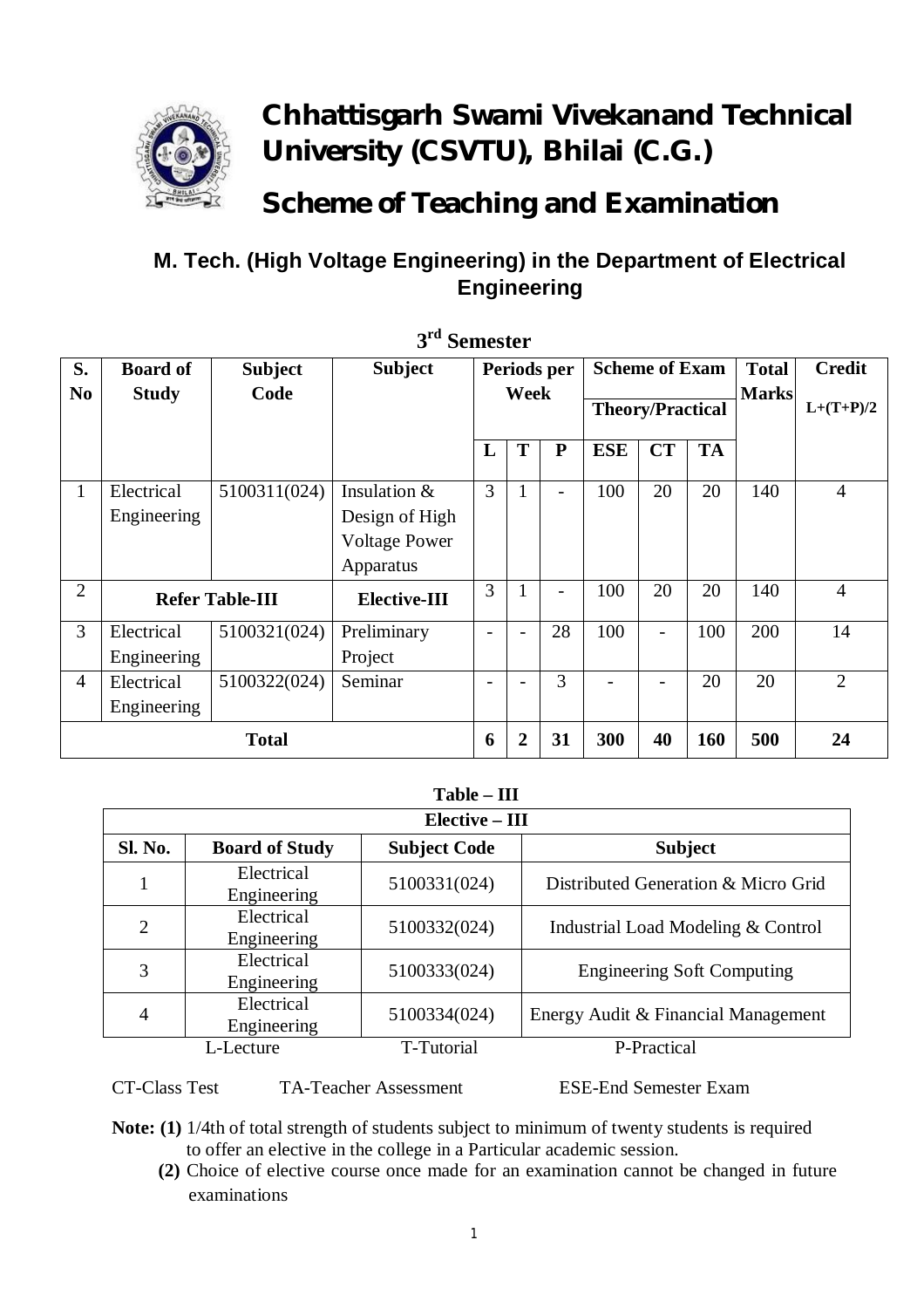

# **Chhattisgarh Swami Vivekanand Technical University (CSVTU), Bhilai (C.G.)**

# **Scheme of Teaching and Examination**

## **M. Tech. (High Voltage Engineering) in the Department of Electrical Engineering**

| S.             | <b>Board of</b>           | <b>Subject</b> | <b>Subject</b>                                                      | Periods per      |                |                         | <b>Scheme of Exam</b> |                          | <b>Total</b> | <b>Credit</b> |                |
|----------------|---------------------------|----------------|---------------------------------------------------------------------|------------------|----------------|-------------------------|-----------------------|--------------------------|--------------|---------------|----------------|
| N <sub>0</sub> | <b>Study</b>              | Code           |                                                                     | Week             |                | <b>Theory/Practical</b> |                       |                          | <b>Marks</b> | $L+(T+P)/2$   |                |
|                |                           |                |                                                                     | L                | T              | ${\bf P}$               | <b>ESE</b>            | <b>CT</b>                | <b>TA</b>    |               |                |
| $\mathbf{1}$   | Electrical<br>Engineering | 5100311(024)   | Insulation &<br>Design of High<br><b>Voltage Power</b><br>Apparatus | 3                |                |                         | 100                   | 20                       | 20           | 140           | $\overline{4}$ |
| $\overline{2}$ | <b>Refer Table-III</b>    |                | Elective-III                                                        | 3                |                |                         | 100                   | 20                       | 20           | 140           | $\overline{4}$ |
| 3              | Electrical<br>Engineering | 5100321(024)   | Preliminary<br>Project                                              |                  |                | 28                      | 100                   | $\overline{\phantom{0}}$ | 100          | 200           | 14             |
| $\overline{4}$ | Electrical<br>Engineering | 5100322(024)   | Seminar                                                             |                  |                | 3                       |                       | $\overline{\phantom{0}}$ | 20           | 20            | $\overline{2}$ |
| <b>Total</b>   |                           |                |                                                                     | $\boldsymbol{6}$ | $\overline{2}$ | 31                      | 300                   | 40                       | 160          | 500           | 24             |

**3 rd Semester**

### **Table – III**

| Elective - III |                           |                     |                                     |  |  |  |  |  |
|----------------|---------------------------|---------------------|-------------------------------------|--|--|--|--|--|
| Sl. No.        | <b>Board of Study</b>     | <b>Subject Code</b> | <b>Subject</b>                      |  |  |  |  |  |
|                | Electrical<br>Engineering | 5100331(024)        | Distributed Generation & Micro Grid |  |  |  |  |  |
| 2              | Electrical<br>Engineering | 5100332(024)        | Industrial Load Modeling & Control  |  |  |  |  |  |
| 3              | Electrical<br>Engineering | 5100333(024)        | <b>Engineering Soft Computing</b>   |  |  |  |  |  |
| 4              | Electrical<br>Engineering | 5100334(024)        | Energy Audit & Financial Management |  |  |  |  |  |
|                | L-Lecture                 | T-Tutorial          | P-Practical                         |  |  |  |  |  |

CT-Class Test TA-Teacher Assessment ESE-End Semester Exam

- **Note: (1)** 1/4th of total strength of students subject to minimum of twenty students is required to offer an elective in the college in a Particular academic session.
	- **(2)** Choice of elective course once made for an examination cannot be changed in future examinations